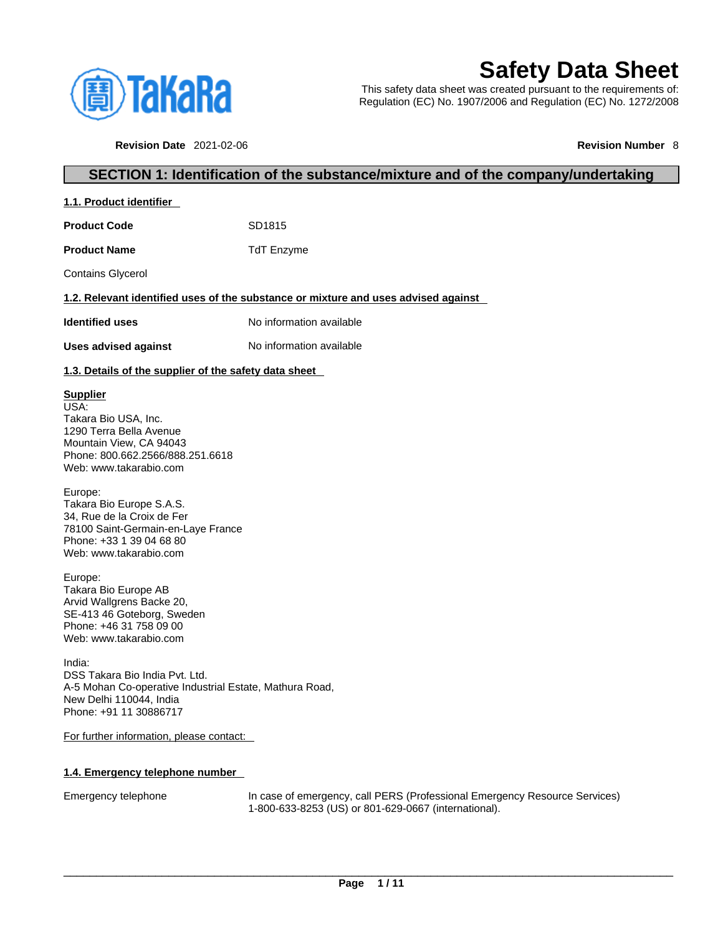

# **Safety Data Sheet**

This safety data sheet was created pursuant to the requirements of: Regulation (EC) No. 1907/2006 and Regulation (EC) No. 1272/2008

**Revision Date** 2021-02-06 **Revision Number** 8

# **SECTION 1: Identification of the substance/mixture and of the company/undertaking**

| 1.1. Product identifier                                                                                                                                                                                                                                                                                                                                                                                                                                                                                                                                                                                                   |                                                                                                                                    |
|---------------------------------------------------------------------------------------------------------------------------------------------------------------------------------------------------------------------------------------------------------------------------------------------------------------------------------------------------------------------------------------------------------------------------------------------------------------------------------------------------------------------------------------------------------------------------------------------------------------------------|------------------------------------------------------------------------------------------------------------------------------------|
| <b>Product Code</b>                                                                                                                                                                                                                                                                                                                                                                                                                                                                                                                                                                                                       | SD1815                                                                                                                             |
| <b>Product Name</b>                                                                                                                                                                                                                                                                                                                                                                                                                                                                                                                                                                                                       | <b>TdT</b> Enzyme                                                                                                                  |
| <b>Contains Glycerol</b>                                                                                                                                                                                                                                                                                                                                                                                                                                                                                                                                                                                                  |                                                                                                                                    |
|                                                                                                                                                                                                                                                                                                                                                                                                                                                                                                                                                                                                                           | 1.2. Relevant identified uses of the substance or mixture and uses advised against                                                 |
| <b>Identified uses</b>                                                                                                                                                                                                                                                                                                                                                                                                                                                                                                                                                                                                    | No information available                                                                                                           |
| <b>Uses advised against</b>                                                                                                                                                                                                                                                                                                                                                                                                                                                                                                                                                                                               | No information available                                                                                                           |
| 1.3. Details of the supplier of the safety data sheet                                                                                                                                                                                                                                                                                                                                                                                                                                                                                                                                                                     |                                                                                                                                    |
| <b>Supplier</b><br>USA:<br>Takara Bio USA, Inc.<br>1290 Terra Bella Avenue<br>Mountain View, CA 94043<br>Phone: 800.662.2566/888.251.6618<br>Web: www.takarabio.com<br>Europe:<br>Takara Bio Europe S.A.S.<br>34, Rue de la Croix de Fer<br>78100 Saint-Germain-en-Laye France<br>Phone: +33 1 39 04 68 80<br>Web: www.takarabio.com<br>Europe:<br>Takara Bio Europe AB<br>Arvid Wallgrens Backe 20,<br>SE-413 46 Goteborg, Sweden<br>Phone: +46 31 758 09 00<br>Web: www.takarabio.com<br>India:<br>DSS Takara Bio India Pvt. Ltd.<br>A-5 Mohan Co-operative Industrial Estate, Mathura Road,<br>New Delhi 110044, India |                                                                                                                                    |
| Phone: +91 11 30886717                                                                                                                                                                                                                                                                                                                                                                                                                                                                                                                                                                                                    |                                                                                                                                    |
| For further information, please contact:                                                                                                                                                                                                                                                                                                                                                                                                                                                                                                                                                                                  |                                                                                                                                    |
| 1.4. Emergency telephone number                                                                                                                                                                                                                                                                                                                                                                                                                                                                                                                                                                                           |                                                                                                                                    |
| Emergency telephone                                                                                                                                                                                                                                                                                                                                                                                                                                                                                                                                                                                                       | In case of emergency, call PERS (Professional Emergency Resource Services)<br>1-800-633-8253 (US) or 801-629-0667 (international). |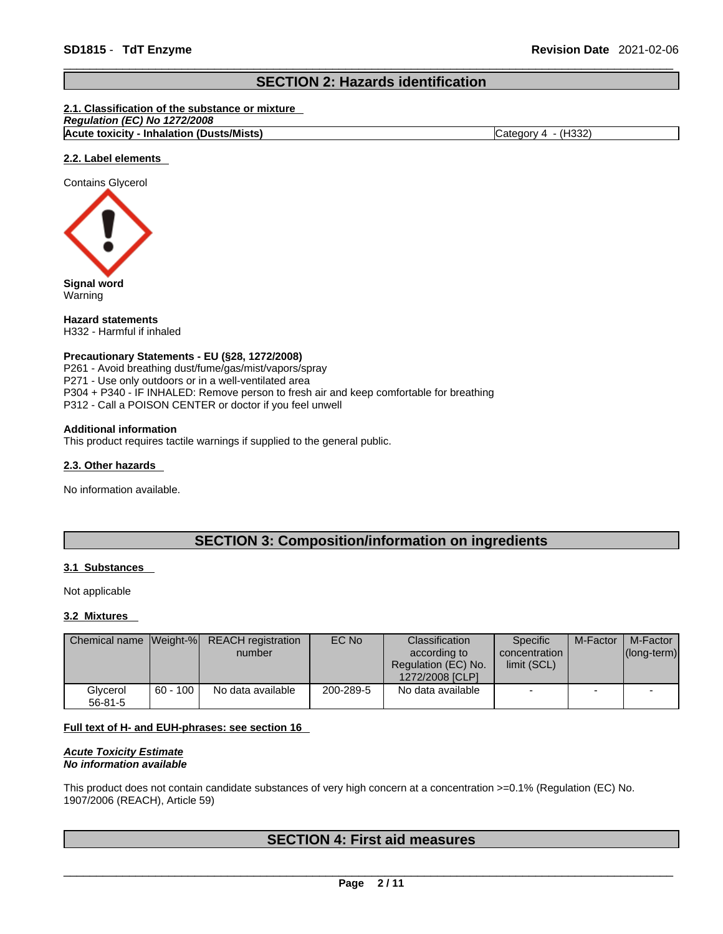# **SECTION 2: Hazards identification**

#### **2.1. Classification of the substance or mixture**

| No 1272/2008<br>Regulation (EC)                  |                    |
|--------------------------------------------------|--------------------|
| <b>Acute toxicity - Inhalation (Dusts/Mists)</b> | (H332)<br>`ategory |

#### **2.2. Label elements**

Contains Glycerol



**Signal word** Warning

**Hazard statements** H332 - Harmful if inhaled

#### **Precautionary Statements - EU (§28, 1272/2008)**

P261 - Avoid breathing dust/fume/gas/mist/vapors/spray P271 - Use only outdoors or in a well-ventilated area P304 + P340 - IF INHALED: Remove person to fresh air and keep comfortable for breathing P312 - Call a POISON CENTER or doctor if you feel unwell

#### **Additional information**

This product requires tactile warnings if supplied to the general public.

#### **2.3. Other hazards**

No information available.

# **SECTION 3: Composition/information on ingredients**

#### **3.1 Substances**

Not applicable

#### **3.2 Mixtures**

|                           |            | Chemical name Weight-% REACH registration<br>number | EC No     | <b>Classification</b><br>according to<br>Regulation (EC) No.<br>1272/2008 [CLP] | Specific<br>concentration<br>limit (SCL) | M-Factor | M-Factor<br>$ $ (long-term) $ $ |
|---------------------------|------------|-----------------------------------------------------|-----------|---------------------------------------------------------------------------------|------------------------------------------|----------|---------------------------------|
| Glycerol<br>$56 - 81 - 5$ | $60 - 100$ | No data available                                   | 200-289-5 | No data available                                                               | $\overline{\phantom{0}}$                 |          |                                 |

#### **Full text of H- and EUH-phrases: see section 16**

*Acute Toxicity Estimate No information available* 

This product does not contain candidate substances of very high concern at a concentration >=0.1% (Regulation (EC) No. 1907/2006 (REACH), Article 59)

# **SECTION 4: First aid measures**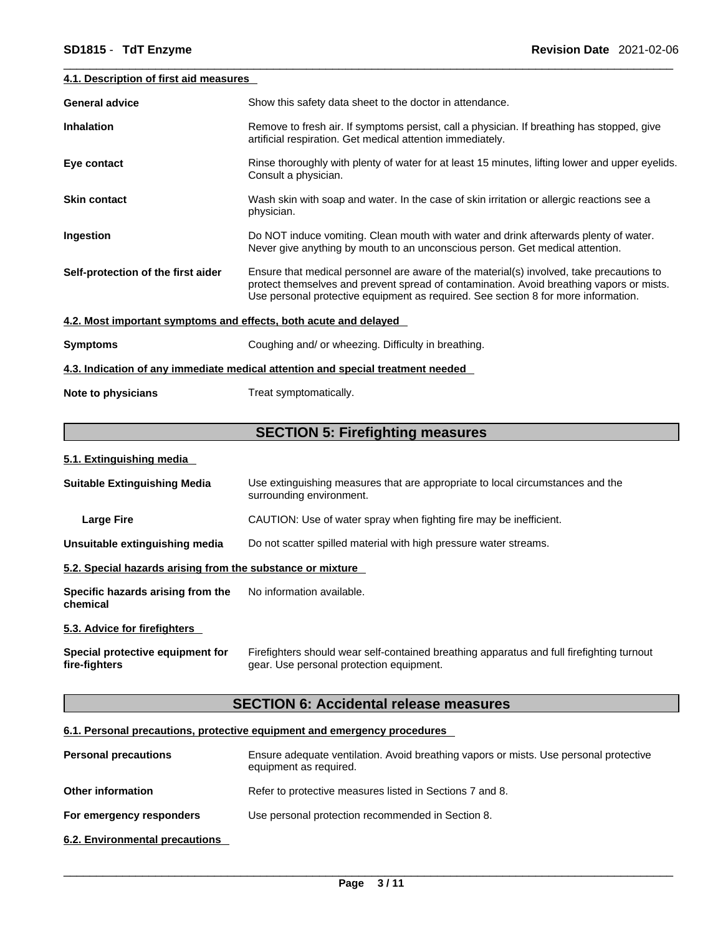#### **4.1. Description of first aid measures**

| <b>General advice</b>                                                           | Show this safety data sheet to the doctor in attendance.                                                                                                                                                                                                                   |  |  |  |  |
|---------------------------------------------------------------------------------|----------------------------------------------------------------------------------------------------------------------------------------------------------------------------------------------------------------------------------------------------------------------------|--|--|--|--|
| <b>Inhalation</b>                                                               | Remove to fresh air. If symptoms persist, call a physician. If breathing has stopped, give<br>artificial respiration. Get medical attention immediately.                                                                                                                   |  |  |  |  |
| Eye contact                                                                     | Rinse thoroughly with plenty of water for at least 15 minutes, lifting lower and upper eyelids.<br>Consult a physician.                                                                                                                                                    |  |  |  |  |
| <b>Skin contact</b>                                                             | Wash skin with soap and water. In the case of skin irritation or allergic reactions see a<br>physician.                                                                                                                                                                    |  |  |  |  |
| Ingestion                                                                       | Do NOT induce vomiting. Clean mouth with water and drink afterwards plenty of water.<br>Never give anything by mouth to an unconscious person. Get medical attention.                                                                                                      |  |  |  |  |
| Self-protection of the first aider                                              | Ensure that medical personnel are aware of the material(s) involved, take precautions to<br>protect themselves and prevent spread of contamination. Avoid breathing vapors or mists.<br>Use personal protective equipment as required. See section 8 for more information. |  |  |  |  |
| 4.2. Most important symptoms and effects, both acute and delayed                |                                                                                                                                                                                                                                                                            |  |  |  |  |
| <b>Symptoms</b>                                                                 | Coughing and/ or wheezing. Difficulty in breathing.                                                                                                                                                                                                                        |  |  |  |  |
| 4.3. Indication of any immediate medical attention and special treatment needed |                                                                                                                                                                                                                                                                            |  |  |  |  |
| Note to physicians                                                              | Treat symptomatically.                                                                                                                                                                                                                                                     |  |  |  |  |

# **SECTION 5: Firefighting measures**

#### **5.1. Extinguishing media**

| <b>Suitable Extinguishing Media</b>                        | Use extinguishing measures that are appropriate to local circumstances and the<br>surrounding environment.                            |  |  |  |  |
|------------------------------------------------------------|---------------------------------------------------------------------------------------------------------------------------------------|--|--|--|--|
| <b>Large Fire</b>                                          | CAUTION: Use of water spray when fighting fire may be inefficient.                                                                    |  |  |  |  |
| Unsuitable extinguishing media                             | Do not scatter spilled material with high pressure water streams.                                                                     |  |  |  |  |
| 5.2. Special hazards arising from the substance or mixture |                                                                                                                                       |  |  |  |  |
| Specific hazards arising from the<br>chemical              | No information available.                                                                                                             |  |  |  |  |
| 5.3. Advice for firefighters                               |                                                                                                                                       |  |  |  |  |
| Special protective equipment for<br>fire-fighters          | Firefighters should wear self-contained breathing apparatus and full firefighting turnout<br>gear. Use personal protection equipment. |  |  |  |  |

# **SECTION 6: Accidental release measures**

#### **6.1. Personal precautions, protective equipment and emergency procedures**

| <b>Personal precautions</b>    | Ensure adequate ventilation. Avoid breathing vapors or mists. Use personal protective<br>equipment as required. |
|--------------------------------|-----------------------------------------------------------------------------------------------------------------|
| <b>Other information</b>       | Refer to protective measures listed in Sections 7 and 8.                                                        |
| For emergency responders       | Use personal protection recommended in Section 8.                                                               |
| 6.2. Environmental precautions |                                                                                                                 |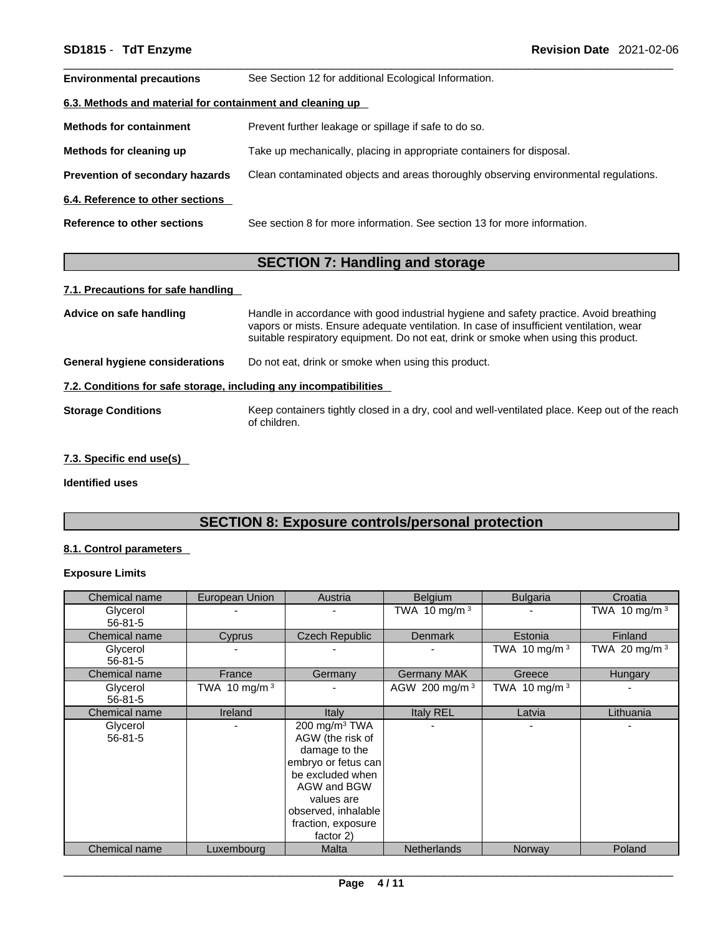| <b>Environmental precautions</b>                          | See Section 12 for additional Ecological Information.                                |
|-----------------------------------------------------------|--------------------------------------------------------------------------------------|
| 6.3. Methods and material for containment and cleaning up |                                                                                      |
| <b>Methods for containment</b>                            | Prevent further leakage or spillage if safe to do so.                                |
| Methods for cleaning up                                   | Take up mechanically, placing in appropriate containers for disposal.                |
| <b>Prevention of secondary hazards</b>                    | Clean contaminated objects and areas thoroughly observing environmental regulations. |
| 6.4. Reference to other sections                          |                                                                                      |
| Reference to other sections                               | See section 8 for more information. See section 13 for more information.             |

# **SECTION 7: Handling and storage**

#### **7.1. Precautions for safe handling**

| suitable respiratory equipment. Do not eat, drink or smoke when using this product.                                                         |
|---------------------------------------------------------------------------------------------------------------------------------------------|
| Do not eat, drink or smoke when using this product.<br>General hygiene considerations                                                       |
| 7.2. Conditions for safe storage, including any incompatibilities                                                                           |
| Keep containers tightly closed in a dry, cool and well-ventilated place. Keep out of the reach<br><b>Storage Conditions</b><br>of children. |

#### **7.3. Specific end use(s)**

**Identified uses**

# **SECTION 8: Exposure controls/personal protection**

#### **8.1. Control parameters**

# **Exposure Limits**

| Chemical name             | European Union  | Austria                                                                                                                                                                                 | <b>Belgium</b>            | <b>Bulgaria</b> | Croatia         |
|---------------------------|-----------------|-----------------------------------------------------------------------------------------------------------------------------------------------------------------------------------------|---------------------------|-----------------|-----------------|
| Glycerol<br>$56 - 81 - 5$ |                 |                                                                                                                                                                                         | TWA 10 mg/m $3$           |                 | TWA 10 mg/m $3$ |
| Chemical name             | Cyprus          | Czech Republic                                                                                                                                                                          | <b>Denmark</b>            | Estonia         | Finland         |
| Glycerol<br>$56 - 81 - 5$ |                 |                                                                                                                                                                                         |                           | TWA 10 mg/m $3$ | TWA 20 mg/m $3$ |
| Chemical name             | France          | Germany                                                                                                                                                                                 | <b>Germany MAK</b>        | Greece          | Hungary         |
| Glycerol<br>$56 - 81 - 5$ | TWA 10 mg/m $3$ |                                                                                                                                                                                         | AGW 200 mg/m <sup>3</sup> | TWA 10 mg/m $3$ |                 |
| Chemical name             | Ireland         | Italy                                                                                                                                                                                   | Italy REL                 | Latvia          | Lithuania       |
| Glycerol<br>$56 - 81 - 5$ |                 | 200 mg/m $3$ TWA<br>AGW (the risk of<br>damage to the<br>embryo or fetus can<br>be excluded when<br>AGW and BGW<br>values are<br>observed, inhalable<br>fraction, exposure<br>factor 2) |                           |                 | ٠               |
| Chemical name             | Luxembourg      | <b>Malta</b>                                                                                                                                                                            | <b>Netherlands</b>        | Norway          | Poland          |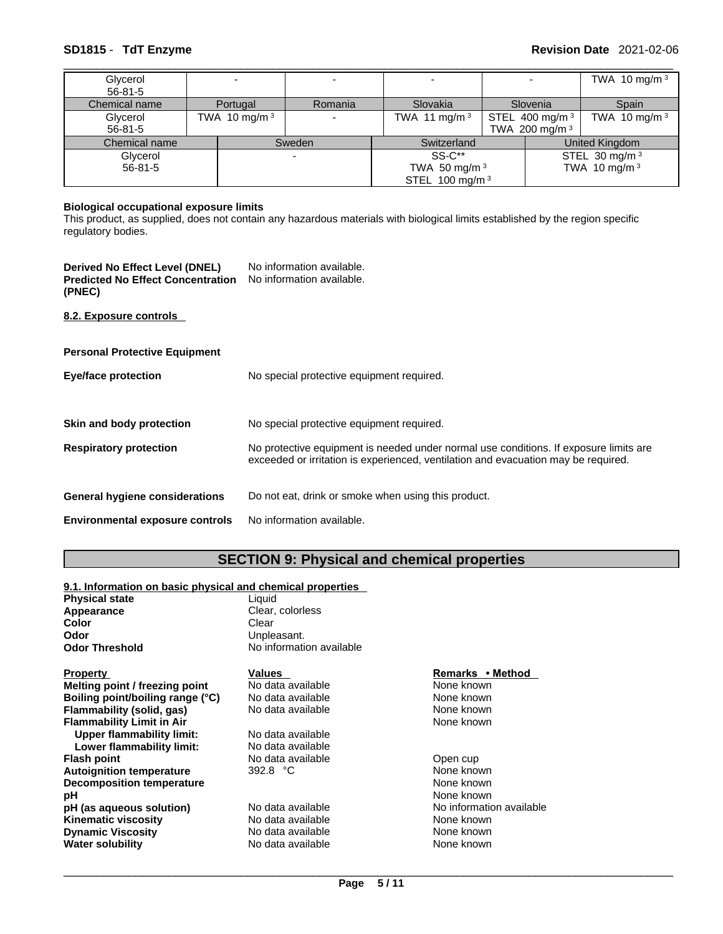| Glycerol                       |                 |         |                   |  |                                                | TWA 10 mg/m $3$           |
|--------------------------------|-----------------|---------|-------------------|--|------------------------------------------------|---------------------------|
| $56 - 81 - 5$<br>Chemical name | Portugal        | Romania | Slovakia          |  | Slovenia                                       | Spain                     |
| Glycerol<br>$56 - 81 - 5$      | TWA 10 mg/m $3$ |         | TWA 11 mg/m $3$   |  | STEL 400 mg/m <sup>3</sup><br>TWA 200 mg/m $3$ | TWA 10 mg/m $3$           |
| Chemical name                  | Sweden          |         | Switzerland       |  |                                                | United Kingdom            |
| Glycerol                       |                 |         | SS-C**            |  |                                                | STEL 30 mg/m <sup>3</sup> |
| $56 - 81 - 5$                  |                 |         | TWA 50 mg/m $3$   |  | TWA 10 mg/m $3$                                |                           |
|                                |                 |         | STEL 100 mg/m $3$ |  |                                                |                           |

#### **Biological occupational exposure limits**

This product, as supplied, does not contain any hazardous materials with biological limits established by the region specific regulatory bodies.

| Derived No Effect Level (DNEL)<br><b>Predicted No Effect Concentration</b><br>(PNEC) | No information available.<br>No information available. |
|--------------------------------------------------------------------------------------|--------------------------------------------------------|
| 8.2. Exposure controls                                                               |                                                        |
| <b>Personal Protective Equipment</b>                                                 |                                                        |
| <b>Eye/face protection</b>                                                           | No special protective equipment required.              |
| Skin and body protection                                                             | No special protective equipment required.              |
|                                                                                      | $\blacksquare$                                         |

| <b>Respiratory protection</b> | No protective equipment is needed under normal use conditions. If exposure limits are |
|-------------------------------|---------------------------------------------------------------------------------------|
|                               | exceeded or irritation is experienced, ventilation and evacuation may be required.    |

### **General hygiene considerations** Do not eat, drink or smoke when using this product.

**Environmental exposure controls** No information available.

# **SECTION 9: Physical and chemical properties**

#### **9.1. Information on basic physical and chemical properties**

| <b>Physical state</b>            | Liquid                   |                          |  |  |
|----------------------------------|--------------------------|--------------------------|--|--|
| Appearance                       | Clear, colorless         |                          |  |  |
| Color                            | Clear                    |                          |  |  |
| Odor                             | Unpleasant.              |                          |  |  |
| <b>Odor Threshold</b>            | No information available |                          |  |  |
| <b>Property</b>                  | Values                   | Remarks • Method         |  |  |
| Melting point / freezing point   | No data available        | None known               |  |  |
| Boiling point/boiling range (°C) | No data available        | None known               |  |  |
| Flammability (solid, gas)        | No data available        | None known               |  |  |
| <b>Flammability Limit in Air</b> |                          | None known               |  |  |
| Upper flammability limit:        | No data available        |                          |  |  |
| Lower flammability limit:        | No data available        |                          |  |  |
| <b>Flash point</b>               | No data available        | Open cup                 |  |  |
| <b>Autoignition temperature</b>  | 392.8 $°C$               | None known               |  |  |
| <b>Decomposition temperature</b> |                          | None known               |  |  |
| рH                               |                          | None known               |  |  |
| pH (as aqueous solution)         | No data available        | No information available |  |  |
| <b>Kinematic viscosity</b>       | No data available        | None known               |  |  |
| <b>Dynamic Viscosity</b>         | No data available        | None known               |  |  |
| <b>Water solubility</b>          | No data available        | None known               |  |  |
|                                  |                          |                          |  |  |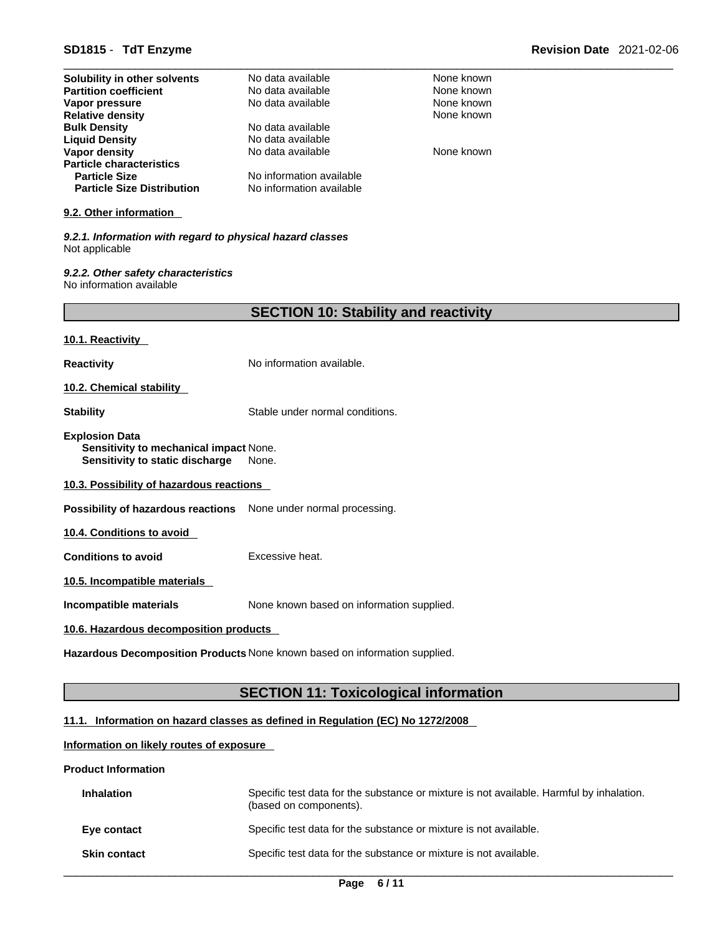| Solubility in other solvents                                                                       | No data available                            | None known |  |
|----------------------------------------------------------------------------------------------------|----------------------------------------------|------------|--|
| <b>Partition coefficient</b>                                                                       | No data available                            | None known |  |
| Vapor pressure                                                                                     | No data available                            | None known |  |
| <b>Relative density</b>                                                                            |                                              | None known |  |
| <b>Bulk Density</b>                                                                                | No data available                            |            |  |
| <b>Liquid Density</b>                                                                              | No data available                            |            |  |
| Vapor density                                                                                      | No data available                            | None known |  |
| <b>Particle characteristics</b>                                                                    |                                              |            |  |
| <b>Particle Size</b>                                                                               | No information available                     |            |  |
| <b>Particle Size Distribution</b>                                                                  | No information available                     |            |  |
| 9.2. Other information                                                                             |                                              |            |  |
| 9.2.1. Information with regard to physical hazard classes<br>Not applicable                        |                                              |            |  |
| 9.2.2. Other safety characteristics<br>No information available                                    |                                              |            |  |
|                                                                                                    | <b>SECTION 10: Stability and reactivity</b>  |            |  |
| 10.1. Reactivity                                                                                   |                                              |            |  |
| <b>Reactivity</b>                                                                                  | No information available.                    |            |  |
| 10.2. Chemical stability                                                                           |                                              |            |  |
| <b>Stability</b>                                                                                   | Stable under normal conditions.              |            |  |
| <b>Explosion Data</b><br>Sensitivity to mechanical impact None.<br>Sensitivity to static discharge | None.                                        |            |  |
| 10.3. Possibility of hazardous reactions                                                           |                                              |            |  |
| Possibility of hazardous reactions None under normal processing.                                   |                                              |            |  |
| 10.4. Conditions to avoid                                                                          |                                              |            |  |
| <b>Conditions to avoid</b>                                                                         | Excessive heat.                              |            |  |
| 10.5. Incompatible materials                                                                       |                                              |            |  |
| Incompatible materials                                                                             | None known based on information supplied.    |            |  |
| 10.6. Hazardous decomposition products                                                             |                                              |            |  |
| Hazardous Decomposition Products None known based on information supplied.                         |                                              |            |  |
|                                                                                                    | <b>SECTION 11: Toxicological information</b> |            |  |
|                                                                                                    |                                              |            |  |

# **11.1. Information on hazard classes as defined in Regulation (EC) No 1272/2008**

#### **Information on likely routes of exposure**

#### **Product Information**

| <b>Inhalation</b>   | Specific test data for the substance or mixture is not available. Harmful by inhalation.<br>(based on components). |
|---------------------|--------------------------------------------------------------------------------------------------------------------|
| Eye contact         | Specific test data for the substance or mixture is not available.                                                  |
| <b>Skin contact</b> | Specific test data for the substance or mixture is not available.                                                  |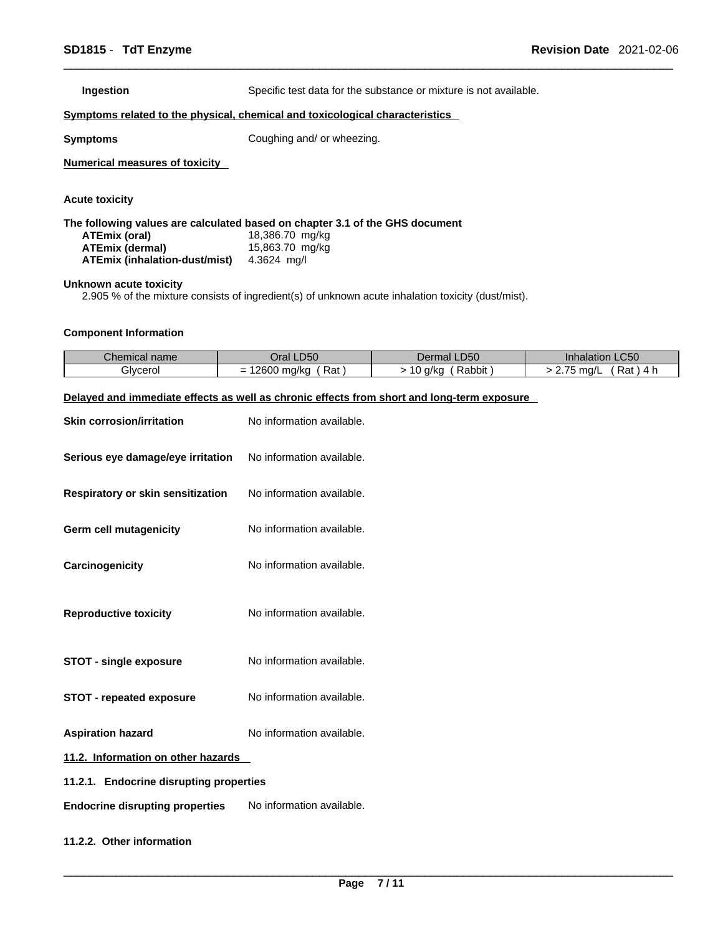**Ingestion Specific test data for the substance or mixture is not available.** 

#### **<u>Symptoms related to the physical, chemical and toxicological characteristics</u>**

**Symptoms** Coughing and/ or wheezing.

**Numerical measures of toxicity**

**Acute toxicity** 

**The following values are calculated based on chapter 3.1 of the GHS document ATEmix (oral)** 18,386.70 mg/kg<br>**ATEmix (dermal)** 15,863.70 mg/kg **ATEmix** (dermal) **ATEmix (inhalation-dust/mist)** 4.3624 mg/l

#### **Unknown acute toxicity**

2.905 % of the mixture consists of ingredient(s) of unknown acute inhalation toxicity (dust/mist).

#### **Component Information**

| Chemical name | DEO<br>Jral I<br>- DU  | LD50<br>Dermal L                          | $\sim$ $\sim$ $\sim$<br>Innalation<br>LC50 |
|---------------|------------------------|-------------------------------------------|--------------------------------------------|
| Glvcerol      | 12600<br>Rat<br>∂ma∕ko | -<br>. .<br>$\sim$<br>Rabbit<br>a/kc<br>ັ | $- -$<br>Rat<br>$m0$ /I<br>11 W L          |

#### **Delayed and immediate effects as well as chronic effects from short and long-term exposure**

| <b>Skin corrosion/irritation</b>        | No information available. |  |
|-----------------------------------------|---------------------------|--|
| Serious eye damage/eye irritation       | No information available. |  |
| Respiratory or skin sensitization       | No information available. |  |
| Germ cell mutagenicity                  | No information available. |  |
| Carcinogenicity                         | No information available. |  |
| <b>Reproductive toxicity</b>            | No information available. |  |
| <b>STOT - single exposure</b>           | No information available. |  |
| <b>STOT - repeated exposure</b>         | No information available. |  |
| <b>Aspiration hazard</b>                | No information available. |  |
| 11.2. Information on other hazards      |                           |  |
| 11.2.1. Endocrine disrupting properties |                           |  |
| <b>Endocrine disrupting properties</b>  | No information available. |  |

#### **11.2.2. Other information**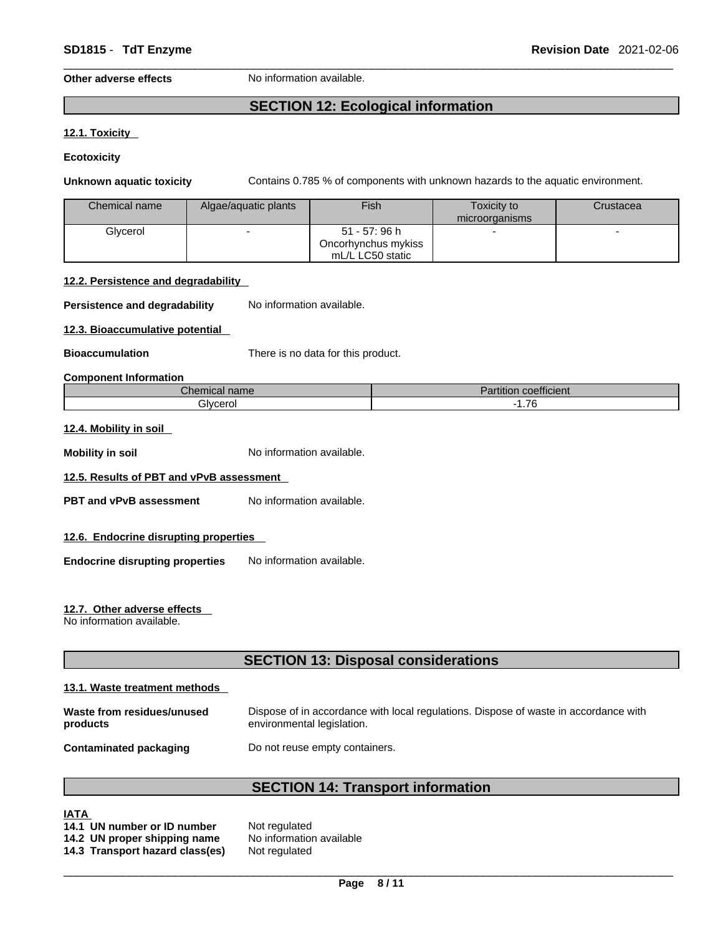#### **Other adverse effects** No information available.

# **SECTION 12: Ecological information**

#### **12.1. Toxicity**

**Ecotoxicity** 

**Unknown aquatic toxicity** Contains 0.785 % of components with unknown hazards to the aquatic environment.

| Chemical name | Algae/aguatic plants | Fish                | Toxicity to    | Crustacea |
|---------------|----------------------|---------------------|----------------|-----------|
|               |                      |                     | microorganisms |           |
| Glvcerol      |                      | 51 - 57: 96 h       |                |           |
|               |                      | Oncorhynchus mykiss |                |           |
|               |                      | mL/L LC50 static    |                |           |

#### **12.2. Persistence and degradability**

**Persistence and degradability** No information available.

**12.3. Bioaccumulative potential**

**Bioaccumulation** There is no data for this product.

#### **Component Information**

| $\overline{\phantom{1}}$<br>$\mathcal L$ hemical name | $\cdots$<br>.<br>$1 - 4$<br>coefficient<br>artition |
|-------------------------------------------------------|-----------------------------------------------------|
| <b>Glvcero</b>                                        | $\overline{\phantom{a}}$                            |
| ייט.                                                  | .10                                                 |

#### **12.4. Mobility in soil**

**Mobility** in soil **Mobility** in soil

#### **12.5. Results of PBT and vPvB assessment**

- **PBT** and **vPvB** assessment No information available.
- **12.6. Endocrine disrupting properties**
- **Endocrine disrupting properties** No information available.

#### **12.7. Other adverse effects**

No information available.

# **SECTION 13: Disposal considerations**

#### **13.1. Waste treatment methods**

| Waste from residues/unused    | Dispose of in accordance with local regulations. Dispose of waste in accordance with |
|-------------------------------|--------------------------------------------------------------------------------------|
| products                      | environmental legislation.                                                           |
| <b>Contaminated packaging</b> | Do not reuse empty containers.                                                       |

# **SECTION 14: Transport information**

### **IATA**

| 14.1 UN number or ID number     | Not regulated            |
|---------------------------------|--------------------------|
| 14.2 UN proper shipping name    | No information available |
| 14.3 Transport hazard class(es) | Not regulated            |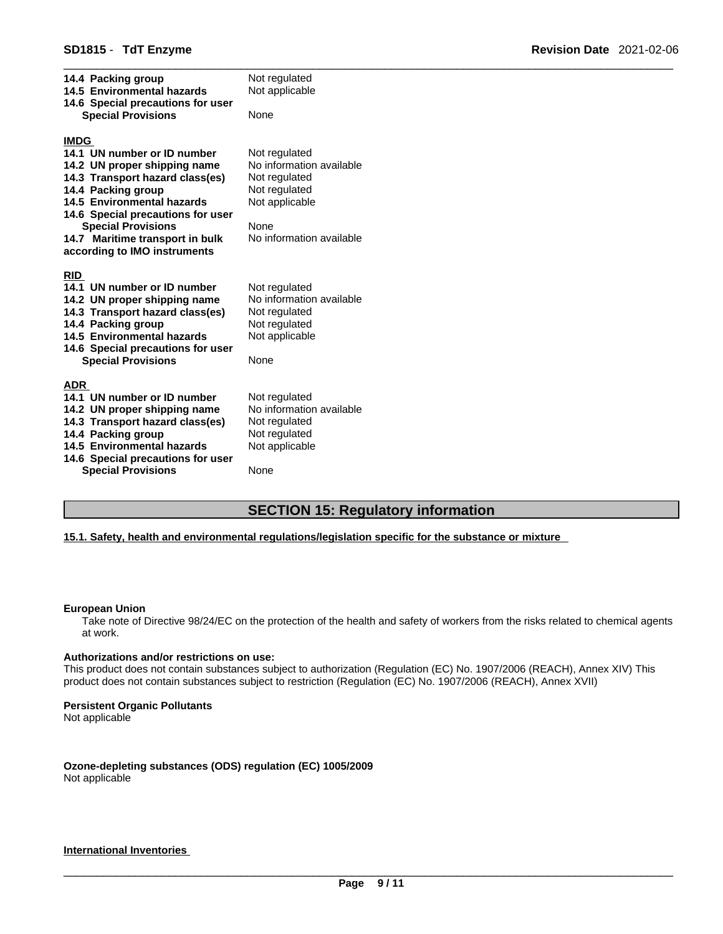| 14.4 Packing group<br>14.5 Environmental hazards<br>14.6 Special precautions for user        | Not regulated<br>Not applicable                            |
|----------------------------------------------------------------------------------------------|------------------------------------------------------------|
| <b>Special Provisions</b>                                                                    | None                                                       |
| <b>IMDG</b><br>14.1 UN number or ID number                                                   | Not regulated                                              |
| 14.2 UN proper shipping name<br>14.3 Transport hazard class(es)<br>14.4 Packing group        | No information available<br>Not regulated<br>Not regulated |
| 14.5 Environmental hazards<br>14.6 Special precautions for user                              | Not applicable                                             |
| <b>Special Provisions</b><br>14.7 Maritime transport in bulk<br>according to IMO instruments | None<br>No information available                           |
| <b>RID</b>                                                                                   |                                                            |
| 14.1 UN number or ID number                                                                  | Not regulated                                              |
| 14.2 UN proper shipping name<br>14.3 Transport hazard class(es)                              | No information available<br>Not regulated                  |
| 14.4 Packing group<br>14.5 Environmental hazards                                             | Not regulated<br>Not applicable                            |
| 14.6 Special precautions for user<br><b>Special Provisions</b>                               | None                                                       |
| <b>ADR</b>                                                                                   |                                                            |
| 14.1 UN number or ID number<br>14.2 UN proper shipping name                                  | Not regulated<br>No information available                  |
| 14.3 Transport hazard class(es)                                                              | Not regulated                                              |
| 14.4 Packing group<br>14.5 Environmental hazards                                             | Not regulated<br>Not applicable                            |
| 14.6 Special precautions for user                                                            |                                                            |
| <b>Special Provisions</b>                                                                    | None                                                       |

# **SECTION 15: Regulatory information**

#### **15.1. Safety, health and environmental regulations/legislation specific for the substance or mixture**

#### **European Union**

Take note of Directive 98/24/EC on the protection of the health and safety of workers from the risks related to chemical agents at work.

#### **Authorizations and/or restrictions on use:**

This product does not contain substances subject to authorization (Regulation (EC) No. 1907/2006 (REACH), Annex XIV) This product does not contain substances subject to restriction (Regulation (EC) No. 1907/2006 (REACH), Annex XVII)

#### **Persistent Organic Pollutants**

Not applicable

#### **Ozone-depleting substances (ODS) regulation (EC) 1005/2009** Not applicable

#### **International Inventories**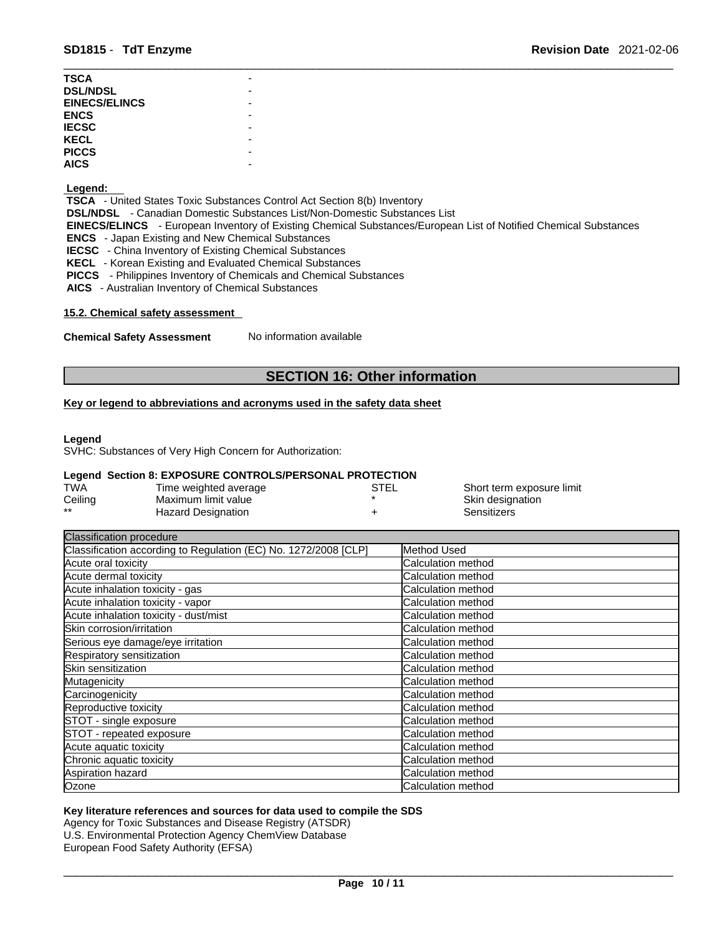| TSCA                 |  |
|----------------------|--|
| <b>DSL/NDSL</b>      |  |
| <b>EINECS/ELINCS</b> |  |
| ENCS                 |  |
| <b>IECSC</b>         |  |
| KECL                 |  |
| <b>PICCS</b>         |  |
| AICS                 |  |
|                      |  |

#### **Legend:**

 **TSCA** - United States Toxic Substances Control Act Section 8(b) Inventory  **DSL/NDSL** - Canadian Domestic Substances List/Non-Domestic Substances List  **EINECS/ELINCS** - European Inventory of Existing Chemical Substances/European List of Notified Chemical Substances  **ENCS** - Japan Existing and New Chemical Substances  **IECSC** - China Inventory of Existing Chemical Substances  **KECL** - Korean Existing and Evaluated Chemical Substances  **PICCS** - Philippines Inventory of Chemicals and Chemical Substances

 **AICS** - Australian Inventory of Chemical Substances

#### **15.2. Chemical safety assessment**

**Chemical Safety Assessment** No information available

# **SECTION 16: Other information**

#### **Key or legend to abbreviations and acronyms used in the safety data sheet**

#### **Legend**

SVHC: Substances of Very High Concern for Authorization:

#### **Legend Section 8: EXPOSURE CONTROLS/PERSONAL PROTECTION**

| <b>TWA</b> | Time weighted average | STEL | Short term exposure limit |
|------------|-----------------------|------|---------------------------|
| Ceiling    | Maximum limit value   |      | Skin designation          |
| $***$      | Hazard Designation    |      | Sensitizers               |

| <b>Classification procedure</b>                                 |                    |
|-----------------------------------------------------------------|--------------------|
| Classification according to Regulation (EC) No. 1272/2008 [CLP] | Method Used        |
| Acute oral toxicity                                             | Calculation method |
| Acute dermal toxicity                                           | Calculation method |
| Acute inhalation toxicity - gas                                 | Calculation method |
| Acute inhalation toxicity - vapor                               | Calculation method |
| Acute inhalation toxicity - dust/mist                           | Calculation method |
| Skin corrosion/irritation                                       | Calculation method |
| Serious eye damage/eye irritation                               | Calculation method |
| Respiratory sensitization                                       | Calculation method |
| Skin sensitization                                              | Calculation method |
| Mutagenicity                                                    | Calculation method |
| Carcinogenicity                                                 | Calculation method |
| Reproductive toxicity                                           | Calculation method |
| STOT - single exposure                                          | Calculation method |
| STOT - repeated exposure                                        | Calculation method |
| Acute aquatic toxicity                                          | Calculation method |
| Chronic aquatic toxicity                                        | Calculation method |
| Aspiration hazard                                               | Calculation method |
| Ozone                                                           | Calculation method |

### **Key literature references and sources for data used to compile the SDS**

Agency for Toxic Substances and Disease Registry (ATSDR) U.S. Environmental Protection Agency ChemView Database European Food Safety Authority (EFSA)